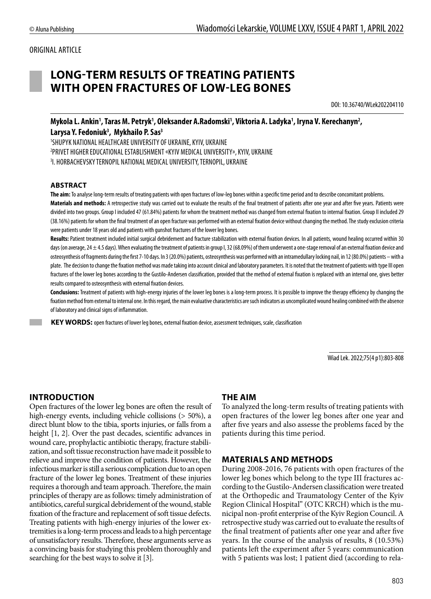# ORIGINAL ARTICLE

# **LONG-TERM RESULTS OF TREATING PATIENTS WITH OPEN FRACTURES OF LOW-LEG BONES**

DOI: 10.36740/WLek202204110

Mykola L. Ankin', Taras M. Petryk', Oleksander A.Radomski', Viktoria A. Ladyka', Iryna V. Kerechanyn<sup>2</sup>, **Larysa Y. Fedoniuk3 , Mykhailo P. Sas3**

1 SHUPYK NATIONAL HEALTHCARE UNIVERSITY OF UKRAINE, KYIV, UKRAINE 2 PRIVET HIGHER EDUCATIONAL ESTABLISHMENT «KYIV MEDICAL UNIVERSITY», KYIV, UKRAINE 3 I. HORBACHEVSKY TERNOPIL NATIONAL MEDICAL UNIVERSITY, TERNOPIL, UKRAINE

#### **ABSTRACT**

**The aim:** To analyse long-term results of treating patients with open fractures of low-leg bones within a specific time period and to describe concomitant problems. **Materials and methods:** A retrospective study was carried out to evaluate the results of the final treatment of patients after one year and after five years. Patients were divided into two groups. Group I included 47 (61.84%) patients for whom the treatment method was changed from external fixation to internal fixation. Group II included 29 (38.16%) patients for whom the final treatment of an open fracture was performed with an external fixation device without changing the method. The study exclusion criteria were patients under 18 years old and patients with gunshot fractures of the lower leg bones.

Results: Patient treatment included initial surgical debridement and fracture stabilization with external fixation devices. In all patients, wound healing occurred within 30 days (on average, 24 ± 4.5 days). When evaluating the treatment of patients in group I, 32 (68.09%) of them underwent a one-stage removal of an external fixation device and osteosynthesis of fragments during the first 7-10 days. In 3 (20.0%) patients, osteosynthesis was performed with an intramedullary locking nail, in 12 (80.0%) patients – with a plate. The decision to change the fixation method was made taking into account clinical and laboratory parameters. It is noted that the treatment of patients with type III open fractures of the lower leg bones according to the Gustilo-Andersen classification, provided that the method of external fixation is replaced with an internal one, gives better results compared to osteosynthesis with external fixation devices.

**Conclusions:** Treatment of patients with high-energy injuries of the lower leg bones is a long-term process. It is possible to improve the therapy efficiency by changing the fixation method from external to internal one. In this regard, the main evaluative characteristics are such indicators as uncomplicated wound healing combined with the absence of laboratory and clinical signs of inflammation.

 **KEY WORDS:** open fractures of lower leg bones, external fixation device, assessment techniques, scale, classification

Wiad Lek. 2022;75(4 p1):803-808

# **INTRODUCTION**

Open fractures of the lower leg bones are often the result of high-energy events, including vehicle collisions (> 50%), a direct blunt blow to the tibia, sports injuries, or falls from a height [1, 2]. Over the past decades, scientific advances in wound care, prophylactic antibiotic therapy, fracture stabilization, and soft tissue reconstruction have made it possible to relieve and improve the condition of patients. However, the infectious marker is still a serious complication due to an open fracture of the lower leg bones. Treatment of these injuries requires a thorough and team approach. Therefore, the main principles of therapy are as follows: timely administration of antibiotics, careful surgical debridement of the wound, stable fixation of the fracture and replacement of soft tissue defects. Treating patients with high-energy injuries of the lower extremities is a long-term process and leads to a high percentage of unsatisfactory results. Therefore, these arguments serve as a convincing basis for studying this problem thoroughly and searching for the best ways to solve it [3].

# **THE AIM**

To analyzed the long-term results of treating patients with open fractures of the lower leg bones after one year and after five years and also assesse the problems faced by the patients during this time period.

#### **MATERIALS AND METHODS**

During 2008-2016, 76 patients with open fractures of the lower leg bones which belong to the type III fractures according to the Gustilo-Andersen classification were treated at the Orthopedic and Traumatology Center of the Kyiv Region Clinical Hospital" (OTC KRCH) which is the municipal non-profit enterprise of the Kyiv Region Council. A retrospective study was carried out to evaluate the results of the final treatment of patients after one year and after five years. In the course of the analysis of results, 8 (10.53%) patients left the experiment after 5 years: communication with 5 patients was lost; 1 patient died (according to rela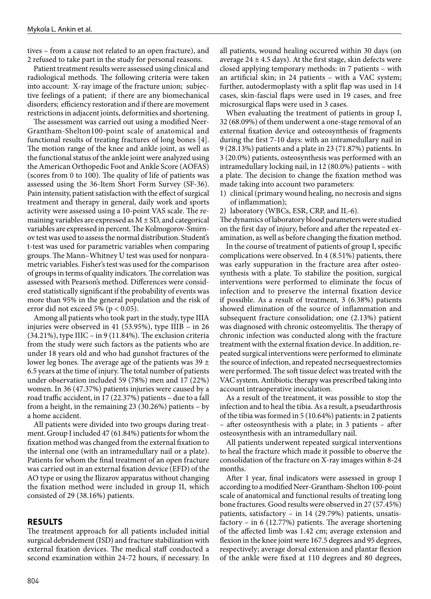tives – from a cause not related to an open fracture), and 2 refused to take part in the study for personal reasons.

Patient treatment results were assessed using clinical and radiological methods. The following criteria were taken into account: X-ray image of the fracture union; subjective feelings of a patient; if there are any biomechanical disorders; efficiency restoration and if there are movement restrictions in adjacent joints, deformities and shortening.

The assessment was carried out using a modified Neer-Grantham-Shelton100-point scale of anatomical and functional results of treating fractures of long bones [4]. The motion range of the knee and ankle joint, as well as the functional status of the ankle joint were analyzed using the American Orthopedic Foot and Ankle Score (AOFAS) (scores from 0 to 100). The quality of life of patients was assessed using the 36-Item Short Form Survey (SF-36). Pain intensity, patient satisfaction with the effect of surgical treatment and therapy in general, daily work and sports activity were assessed using a 10-point VAS scale. The remaining variables are expressed as  $M \pm SD$ , and categorical variables are expressed in percent. The Kolmogorov-Smirnov test was used to assess the normal distribution. Student's t-test was used for parametric variables when comparing groups. The Mann–Whitney U test was used for nonparametric variables. Fisher's test was used for the comparison of groups in terms of quality indicators. The correlation was assessed with Pearson's method. Differences were considered statistically significant if the probability of events was more than 95% in the general population and the risk of error did not exceed 5% ( $p < 0.05$ ).

Among all patients who took part in the study, type IIIA injuries were observed in 41 (53.95%), type IIIB – in 26  $(34.21\%)$ , type IIIC – in 9 (11.84%). The exclusion criteria from the study were such factors as the patients who are under 18 years old and who had gunshot fractures of the lower leg bones. The average age of the patients was  $39 \pm$ 6.5 years at the time of injury. The total number of patients under observation included 59 (78%) men and 17 (22%) women. In 36 (47.37%) patients injuries were caused by a road traffic accident, in 17 (22.37%) patients – due to a fall from a height, in the remaining 23 (30.26%) patients – by a home accident.

All patients were divided into two groups during treatment. Group I included 47 (61.84%) patients for whom the fixation method was changed from the external fixation to the internal one (with an intramedullary nail or a plate). Patients for whom the final treatment of an open fracture was carried out in an external fixation device (EFD) of the AO type or using the Ilizarov apparatus without changing the fixation method were included in group II, which consisted of 29 (38.16%) patients.

#### **RESULTS**

The treatment approach for all patients included initial surgical debridement (ISD) and fracture stabilization with external fixation devices. The medical staff conducted a second examination within 24-72 hours, if necessary. In all patients, wound healing occurred within 30 days (on average  $24 \pm 4.5$  days). At the first stage, skin defects were closed applying temporary methods: in 7 patients – with an artificial skin; in 24 patients – with a VAC system; further, autodermoplasty with a split flap was used in 14 cases, skin-fascial flaps were used in 19 cases, and free microsurgical flaps were used in 3 cases.

When evaluating the treatment of patients in group I, 32 (68.09%) of them underwent a one-stage removal of an external fixation device and osteosynthesis of fragments during the first 7-10 days: with an intramedullary nail in 9 (28.13%) patients and a plate in 23 (71.87%) patients. In 3 (20.0%) patients, osteosynthesis was performed with an intramedullary locking nail, in 12 (80.0%) patients – with a plate. The decision to change the fixation method was made taking into account two parameters:

- 1) clinical (primary wound healing, no necrosis and signs of inflammation);
- 2) laboratory (WBCs, ESR, CRP, and IL-6).

The dynamics of laboratory blood parameters were studied on the first day of injury, before and after the repeated examination, as well as before changing the fixation method.

In the course of treatment of patients of group I, specific complications were observed. In 4 (8.51%) patients, there was early suppuration in the fracture area after osteosynthesis with a plate. To stabilize the position, surgical interventions were performed to eliminate the focus of infection and to preserve the internal fixation device if possible. As a result of treatment, 3 (6.38%) patients showed elimination of the source of inflammation and subsequent fracture consolidation; one (2.13%) patient was diagnosed with chronic osteomyelitis. The therapy of chronic infection was conducted along with the fracture treatment with the external fixation device. In addition, repeated surgical interventions were performed to eliminate the source of infection, and repeated necrsequestrectomies were performed. The soft tissue defect was treated with the VAC system. Antibiotic therapy was prescribed taking into account intraoperative inoculation.

As a result of the treatment, it was possible to stop the infection and to heal the tibia. As a result, a pseudarthrosis of the tibia was formed in 5 (10.64%) patients: in 2 patients – after osteosynthesis with a plate; in 3 patients – after osteosynthesis with an intramedullary nail.

All patients underwent repeated surgical interventions to heal the fracture which made it possible to observe the consolidation of the fracture on X-ray images within 8-24 months.

After 1 year, final indicators were assessed in group I according to a modified Neer-Grantham-Shelton 100-point scale of anatomical and functional results of treating long bone fractures. Good results were observed in 27 (57.45%) patients, satisfactory – in 14 (29.79%) patients, unsatisfactory – in 6 (12.77%) patients. The average shortening of the affected limb was 1.42 cm; average extension and flexion in the knee joint were 167.5 degrees and 95 degrees, respectively; average dorsal extension and plantar flexion of the ankle were fixed at 110 degrees and 80 degrees,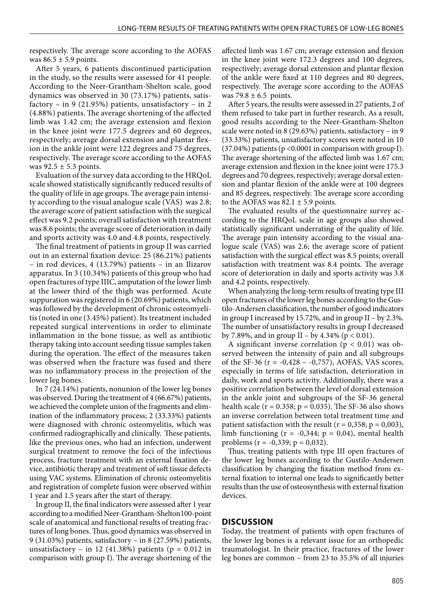respectively. The average score according to the AOFAS was  $86.5 \pm 5.9$  points.

After 5 years, 6 patients discontinued participation in the study, so the results were assessed for 41 people. According to the Neer-Grantham-Shelton scale, good dynamics was observed in 30 (73.17%) patients, satisfactory – in 9 (21.95%) patients, unsatisfactory – in 2 (4.88%) patients. The average shortening of the affected limb was 1.42 cm; the average extension and flexion in the knee joint were 177.5 degrees and 60 degrees, respectively; average dorsal extension and plantar flexion in the ankle joint were 122 degrees and 75 degrees, respectively. The average score according to the AOFAS was  $92.5 \pm 5.3$  points.

Evaluation of the survey data according to the HRQoL scale showed statistically significantly reduced results of the quality of life in age groups. The average pain intensity according to the visual analogue scale (VAS) was 2.8; the average score of patient satisfaction with the surgical effect was 9.2 points; overall satisfaction with treatment was 8.6 points; the average score of deterioration in daily and sports activity was 4.0 and 4.8 points, respectively.

The final treatment of patients in group II was carried out in an external fixation device: 25 (86.21%) patients – in rod devices, 4 (13.79%) patients – in an Ilizarov apparatus. In 3 (10.34%) patients of this group who had open fractures of type IIIC, amputation of the lower limb at the lower third of the thigh was performed. Acute suppuration was registered in 6 (20.69%) patients, which was followed by the development of chronic osteomyelitis (noted in one (3.45%) patient). Its treatment included repeated surgical interventions in order to eliminate inflammation in the bone tissue, as well as antibiotic therapy taking into account seeding tissue samples taken during the operation. The effect of the measures taken was observed when the fracture was fused and there was no inflammatory process in the projection of the lower leg bones.

In 7 (24.14%) patients, nonunion of the lower leg bones was observed. During the treatment of 4 (66.67%) patients, we achieved the complete union of the fragments and elimination of the inflammatory process; 2 (33.33%) patients were diagnosed with chronic osteomyelitis, which was confirmed radiographically and clinically. These patients, like the previous ones, who had an infection, underwent surgical treatment to remove the foci of the infectious process, fracture treatment with an external fixation device, antibiotic therapy and treatment of soft tissue defects using VAC systems. Elimination of chronic osteomyelitis and registration of complete fusion were observed within 1 year and 1.5 years after the start of therapy.

In group II, the final indicators were assessed after 1 year according to a modified Neer-Grantham-Shelton100-point scale of anatomical and functional results of treating fractures of long bones. Thus, good dynamics was observed in 9 (31.03%) patients, satisfactory – in 8 (27.59%) patients, unsatisfactory – in 12 (41.38%) patients ( $p = 0.012$  in comparison with group I). The average shortening of the affected limb was 1.67 cm; average extension and flexion in the knee joint were 172.3 degrees and 100 degrees, respectively; average dorsal extension and plantar flexion of the ankle were fixed at 110 degrees and 80 degrees, respectively. The average score according to the AOFAS was  $79.8 \pm 6.5$  points.

After 5 years, the results were assessed in 27 patients, 2 of them refused to take part in further research. As a result, good results according to the Neer-Grantham-Shelton scale were noted in 8 (29.63%) patients, satisfactory – in 9 (33.33%) patients, unsatisfactory scores were noted in 10 (37.04%) patients (p <0.0001 in comparison with group I). The average shortening of the affected limb was 1.67 cm; average extension and flexion in the knee joint were 175.3 degrees and 70 degrees, respectively; average dorsal extension and plantar flexion of the ankle were at 100 degrees and 85 degrees, respectively. The average score according to the AOFAS was  $82.1 \pm 5.9$  points.

The evaluated results of the questionnaire survey according to the HRQoL scale in age groups also showed statistically significant underrating of the quality of life. The average pain intensity according to the visual analogue scale (VAS) was 2.6; the average score of patient satisfaction with the surgical effect was 8.5 points; overall satisfaction with treatment was 8.4 points. The average score of deterioration in daily and sports activity was 3.8 and 4.2 points, respectively.

When analyzing the long-term results of treating type III open fractures of the lower leg bones according to the Gustilo-Andersen classification, the number of good indicators in group I increased by 15.72%, and in group II – by 2.3%. The number of unsatisfactory results in group I decreased by 7.89%, and in group II – by 4.34% ( $p < 0.01$ ).

A significant inverse correlation ( $p < 0.01$ ) was observed between the intensity of pain and all subgroups of the SF-36 ( $r = -0.428 - 0.757$ ), AOFAS, VAS scores, especially in terms of life satisfaction, deterioration in daily, work and sports activity. Additionally, there was a positive correlation between the level of dorsal extension in the ankle joint and subgroups of the SF-36 general health scale ( $r = 0.358$ ;  $p = 0.035$ ). The SF-36 also shows an inverse correlation between total treatment time and patient satisfaction with the result ( $r = 0.358$ ;  $p = 0.003$ ), limb functioning ( $r = -0.344$ ;  $p = 0.04$ ), mental health problems ( $r = -0,339; p = 0,032$ ).

Thus, treating patients with type III open fractures of the lower leg bones according to the Gustilo-Andersen classification by changing the fixation method from external fixation to internal one leads to significantly better results than the use of osteosynthesis with external fixation devices.

#### **DISCUSSION**

Today, the treatment of patients with open fractures of the lower leg bones is a relevant issue for an orthopedic traumatologist. In their practice, fractures of the lower leg bones are common – from 23 to 35.5% of all injuries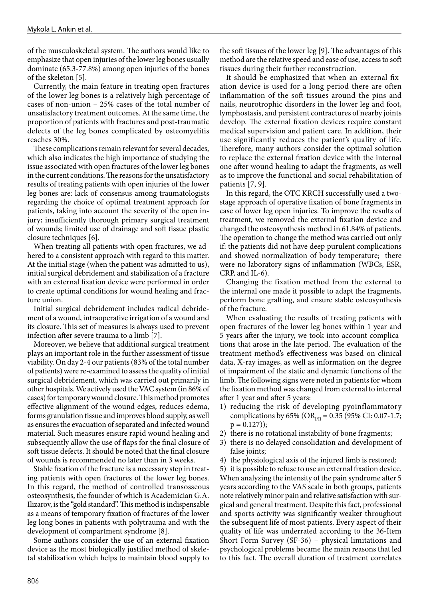of the musculoskeletal system. The authors would like to emphasize that open injuries of the lower leg bones usually dominate (65.3-77.8%) among open injuries of the bones of the skeleton [5].

Currently, the main feature in treating open fractures of the lower leg bones is a relatively high percentage of cases of non-union – 25% cases of the total number of unsatisfactory treatment outcomes. At the same time, the proportion of patients with fractures and post-traumatic defects of the leg bones complicated by osteomyelitis reaches 30%.

These complications remain relevant for several decades, which also indicates the high importance of studying the issue associated with open fractures of the lower leg bones in the current conditions. The reasons for the unsatisfactory results of treating patients with open injuries of the lower leg bones are: lack of consensus among traumatologists regarding the choice of optimal treatment approach for patients, taking into account the severity of the open injury; insufficiently thorough primary surgical treatment of wounds; limited use of drainage and soft tissue plastic closure techniques [6].

When treating all patients with open fractures, we adhered to a consistent approach with regard to this matter. At the initial stage (when the patient was admitted to us), initial surgical debridement and stabilization of a fracture with an external fixation device were performed in order to create optimal conditions for wound healing and fracture union.

Initial surgical debridement includes radical debridement of a wound, intraoperative irrigation of a wound and its closure. This set of measures is always used to prevent infection after severe trauma to a limb [7].

Moreover, we believe that additional surgical treatment plays an important role in the further assessment of tissue viability. On day 2-4 our patients (83% of the total number of patients) were re-examined to assess the quality of initial surgical debridement, which was carried out primarily in other hospitals. We actively used the VAC system (in 86% of cases) for temporary wound closure. This method promotes effective alignment of the wound edges, reduces edema, forms granulation tissue and improves blood supply, as well as ensures the evacuation of separated and infected wound material. Such measures ensure rapid wound healing and subsequently allow the use of flaps for the final closure of soft tissue defects. It should be noted that the final closure of wounds is recommended no later than in 3 weeks.

Stable fixation of the fracture is a necessary step in treating patients with open fractures of the lower leg bones. In this regard, the method of controlled transosseous osteosynthesis, the founder of which is Academician G.А. Ilizarov, is the "gold standard". This method is indispensable as a means of temporary fixation of fractures of the lower leg long bones in patients with polytrauma and with the development of compartment syndrome [8].

Some authors consider the use of an external fixation device as the most biologically justified method of skeletal stabilization which helps to maintain blood supply to the soft tissues of the lower leg [9]. The advantages of this method are the relative speed and ease of use, access to soft tissues during their further reconstruction.

It should be emphasized that when an external fixation device is used for a long period there are often inflammation of the soft tissues around the pins and nails, neurotrophic disorders in the lower leg and foot, lymphostasis, and persistent contractures of nearby joints develop. The external fixation devices require constant medical supervision and patient care. In addition, their use significantly reduces the patient's quality of life. Therefore, many authors consider the optimal solution to replace the external fixation device with the internal one after wound healing to adapt the fragments, as well as to improve the functional and social rehabilitation of patients [7, 9].

In this regard, the OTC KRCH successfully used a twostage approach of operative fixation of bone fragments in case of lower leg open injuries. To improve the results of treatment, we removed the external fixation device and changed the osteosynthesis method in 61.84% of patients. The operation to change the method was carried out only if: the patients did not have deep purulent complications and showed normalization of body temperature; there were no laboratory signs of inflammation (WBCs, ESR, CRP, and IL-6).

Changing the fixation method from the external to the internal one made it possible to adapt the fragments, perform bone grafting, and ensure stable osteosynthesis of the fracture.

When evaluating the results of treating patients with open fractures of the lower leg bones within 1 year and 5 years after the injury, we took into account complications that arose in the late period. The evaluation of the treatment method's effectiveness was based on clinical data, X-ray images, as well as information on the degree of impairment of the static and dynamic functions of the limb. The following signs were noted in patients for whom the fixation method was changed from external to internal after 1 year and after 5 years:

- 1) reducing the risk of developing pyoinflammatory complications by 65% (OR<sub>I/II</sub> = 0.35 (95% CI: 0.07-1.7;  $p = 0.127$ );
- 2) there is no rotational instability of bone fragments;
- 3) there is no delayed consolidation and development of false joints;
- 4) the physiological axis of the injured limb is restored;

5) it is possible to refuse to use an external fixation device. When analyzing the intensity of the pain syndrome after 5 years according to the VAS scale in both groups, patients note relatively minor pain and relative satisfaction with surgical and general treatment. Despite this fact, professional and sports activity was significantly weaker throughout the subsequent life of most patients. Every aspect of their quality of life was underrated according to the 36-Item Short Form Survey (SF-36) – physical limitations and psychological problems became the main reasons that led to this fact. The overall duration of treatment correlates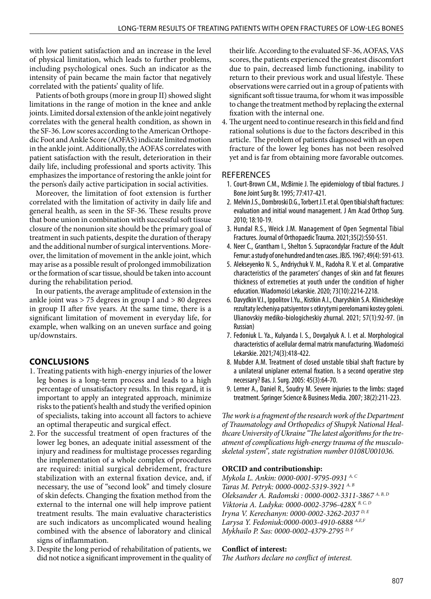with low patient satisfaction and an increase in the level of physical limitation, which leads to further problems, including psychological ones. Such an indicator as the intensity of pain became the main factor that negatively correlated with the patients' quality of life.

Patients of both groups (more in group II) showed slight limitations in the range of motion in the knee and ankle joints. Limited dorsal extension of the ankle joint negatively correlates with the general health condition, as shown in the SF-36. Low scores according to the American Orthopedic Foot and Ankle Score (AOFAS) indicate limited motion in the ankle joint. Additionally, the AOFAS correlates with patient satisfaction with the result, deterioration in their daily life, including professional and sports activity. This emphasizes the importance of restoring the ankle joint for the person's daily active participation in social activities.

Moreover, the limitation of foot extension is further correlated with the limitation of activity in daily life and general health, as seen in the SF-36. These results prove that bone union in combination with successful soft tissue closure of the nonunion site should be the primary goal of treatment in such patients, despite the duration of therapy and the additional number of surgical interventions. Moreover, the limitation of movement in the ankle joint, which may arise as a possible result of prolonged immobilization or the formation of scar tissue, should be taken into account during the rehabilitation period.

In our patients, the average amplitude of extension in the ankle joint was > 75 degrees in group I and > 80 degrees in group II after five years. At the same time, there is a significant limitation of movement in everyday life, for example, when walking on an uneven surface and going up/downstairs.

# **CONCLUSIONS**

- 1. Treating patients with high-energy injuries of the lower leg bones is a long-term process and leads to a high percentage of unsatisfactory results. In this regard, it is important to apply an integrated approach, minimize risks to the patient's health and study the verified opinion of specialists, taking into account all factors to achieve an optimal therapeutic and surgical effect.
- 2. For the successful treatment of open fractures of the lower leg bones, an adequate initial assessment of the injury and readiness for multistage processes regarding the implementation of a whole complex of procedures are required: initial surgical debridement, fracture stabilization with an external fixation device, and, if necessary, the use of "second look" and timely closure of skin defects. Changing the fixation method from the external to the internal one will help improve patient treatment results. The main evaluative characteristics are such indicators as uncomplicated wound healing combined with the absence of laboratory and clinical signs of inflammation.
- 3. Despite the long period of rehabilitation of patients, we did not notice a significant improvement in the quality of

their life. According to the evaluated SF-36, AOFAS, VAS scores, the patients experienced the greatest discomfort due to pain, decreased limb functioning, inability to return to their previous work and usual lifestyle. These observations were carried out in a group of patients with significant soft tissue trauma, for whom it was impossible to change the treatment method by replacing the external fixation with the internal one.

4. The urgent need to continue research in this field and find rational solutions is due to the factors described in this article. The problem of patients diagnosed with an open fracture of the lower leg bones has not been resolved yet and is far from obtaining more favorable outcomes.

# **REFERENCES**

- 1. Court-Brown C.M., McBirnie J. The epidemiology of tibial fractures. J Bone Joint Surg Br. 1995; 77:417-421.
- 2. Melvin J.S., Dombroski D.G., Torbert J.T. et al. Open tibial shaft fractures: evaluation and initial wound management. J Am Acad Orthop Surg. 2010; 18:10-19.
- 3. Hundal R.S., Weick J.M. Management of Open Segmental Tibial Fractures. Journal of Orthopaedic Trauma. 2021;35(2):S50-S51.
- 4. Neer C., Grantham I., Shelton S. Supracondylar Fracture of the Adult Femur: a study of one hundred and ten cases. JBJS. 1967; 49(4): 591-613.
- 5. Alekseyenko N. S., Andriychuk V. M., Radoha R. V. et al. Comparative characteristics of the parameters' changes of skin and fat flexures thickness of extremeties at youth under the condition of higher education. Wiadomości Lekarskie. 2020; 73(10):2214-2218.
- 6. Davydkin V.I., Ippolitov I.Yu., Kistkin A.I., Charyshkin S.A. Klinicheskiye rezultaty lecheniya patsiyentov s otkrytymi perelomami kostey goleni. Ulianovskiy mediko-biologicheskiy zhurnal. 2021; 57(1):92-97. (in Russian)
- 7. Fedoniuk L. Ya., Kulyanda I. S., Dovgalyuk A. I. et al. Morphological characteristics of acellular dermal matrix manufacturing. Wiadomości Lekarskie. 2021;74(3):418-422.
- 8. Mubder A.M. Treatment of closed unstable tibial shaft fracture by a unilateral uniplaner external fixation. Is a second operative step necessary? Bas. J. Surg. 2005: 45(3):64-70.
- 9. Lerner A., Daniel R., Soudry M. Severe injuries to the limbs: staged treatment. Springer Science & Business Media. 2007; 38(2):211-223.

*The work is a fragment of the research work of the Department of Traumatology and Orthopedics of Shupyk National Healthcare University of Ukraine "The latest algorithms for the treatment of complications high-energy trauma of the musculoskeletal system", state registration number 0108U001036.*

# **ORCID and contributionship:**

*Mykola L. Ankin: 0000-0001-9795-0931 A, C Taras M. Petryk: 0000-0002-5319-3921 A, B Oleksander A. Radomski : 0000-0002-3311-3867 A, B, D Viktoria A. Ladyka: 0000-0002-3796-428X B, C, D Іryna V. Кerechanyn: 0000-0002-3262-2037 D, E Larysa Y. Fedoniuk:0000-0003-4910-6888 А,Е,F Mykhailo P. Sas: 0000-0002-4379-2795 D, F*

# **Conflict of interest:**

*The Authors declare no conflict of interest.*